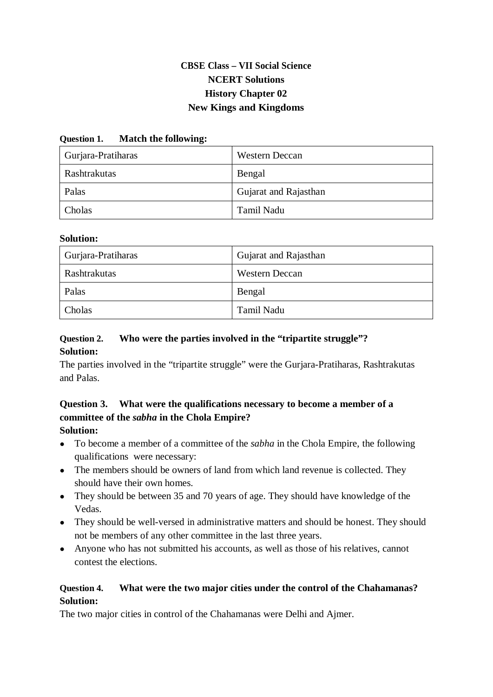# **CBSE Class – VII Social Science NCERT Solutions History Chapter 02 New Kings and Kingdoms**

#### **Question 1. Match the following:**

| Gurjara-Pratiharas | <b>Western Deccan</b> |
|--------------------|-----------------------|
| Rashtrakutas       | Bengal                |
| Palas              | Gujarat and Rajasthan |
| Cholas             | Tamil Nadu            |

#### **Solution:**

| Gurjara-Pratiharas | Gujarat and Rajasthan |
|--------------------|-----------------------|
| Rashtrakutas       | <b>Western Deccan</b> |
| Palas              | Bengal                |
| Cholas             | Tamil Nadu            |

#### **Question 2. Who were the parties involved in the "tripartite struggle"? Solution:**

The parties involved in the "tripartite struggle" were the Gurjara-Pratiharas, Rashtrakutas and Palas.

#### **Question 3. What were the qualifications necessary to become a member of a committee of the** *sabha* **in the Chola Empire? Solution:**

- To become a member of a committee of the *sabha* in the Chola Empire, the following qualifications were necessary:
- The members should be owners of land from which land revenue is collected. They should have their own homes.
- They should be between 35 and 70 years of age. They should have knowledge of the Vedas.
- They should be well-versed in administrative matters and should be honest. They should not be members of any other committee in the last three years.
- Anyone who has not submitted his accounts, as well as those of his relatives, cannot contest the elections.

### **Question 4. What were the two major cities under the control of the Chahamanas? Solution:**

The two major cities in control of the Chahamanas were Delhi and Ajmer.